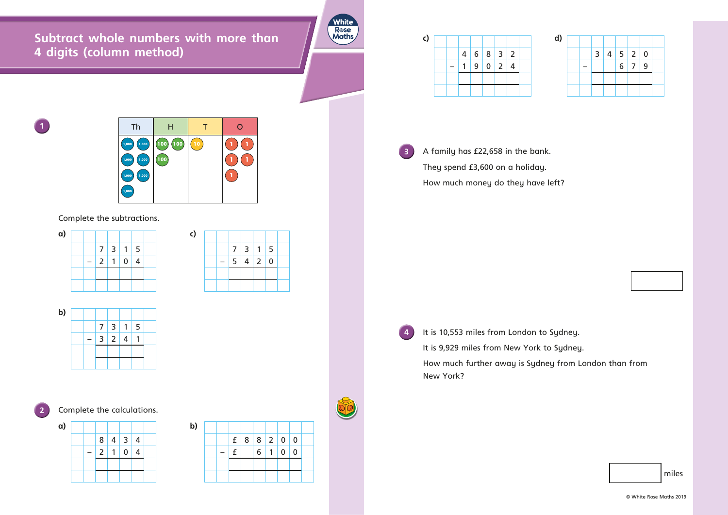**Subtract whole numbers with more than 4 digits (column method)**





## Complete the subtractions.

**3** A family has £22,658 in the bank. They spend £3,600 on a holiday. How much money do they have left?

**4** It is 10,553 miles from London to Sydney. It is 9,929 miles from New York to Sydney. How much further away is Sydney from London than from New York?

| a) |  |  |                          |  |  | C) |
|----|--|--|--------------------------|--|--|----|
|    |  |  | 7 3 1 5                  |  |  |    |
|    |  |  | $2 \mid 1 \mid 0 \mid 4$ |  |  |    |
|    |  |  |                          |  |  |    |
|    |  |  |                          |  |  |    |





**2** Complete the calculations.

| c) |  |  |                          |  | d) |
|----|--|--|--------------------------|--|----|
|    |  |  | 4   6   8   3   2        |  |    |
|    |  |  | $9 \mid 0 \mid 2 \mid 4$ |  |    |
|    |  |  |                          |  |    |
|    |  |  |                          |  |    |

miles

|  |            | f   8   8   2   0   0 |          |             |                |
|--|------------|-----------------------|----------|-------------|----------------|
|  | $\epsilon$ | 6                     | $1\vert$ | $\mathbf 0$ | $\overline{0}$ |
|  |            |                       |          |             |                |
|  |            |                       |          |             |                |

7 3 1 5

 $- 5 4 2 0$ 



| d) |  |                   |                   |  |
|----|--|-------------------|-------------------|--|
|    |  | 3   4   5   2   0 |                   |  |
|    |  |                   | $6 \mid 7 \mid 9$ |  |
|    |  |                   |                   |  |
|    |  |                   |                   |  |

© White Rose Maths 2019